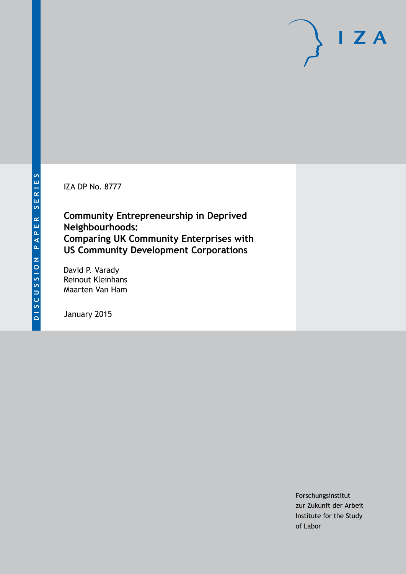IZA DP No. 8777

**Community Entrepreneurship in Deprived Neighbourhoods: Comparing UK Community Enterprises with US Community Development Corporations**

David P. Varady Reinout Kleinhans Maarten Van Ham

January 2015

Forschungsinstitut zur Zukunft der Arbeit Institute for the Study of Labor

 $I Z A$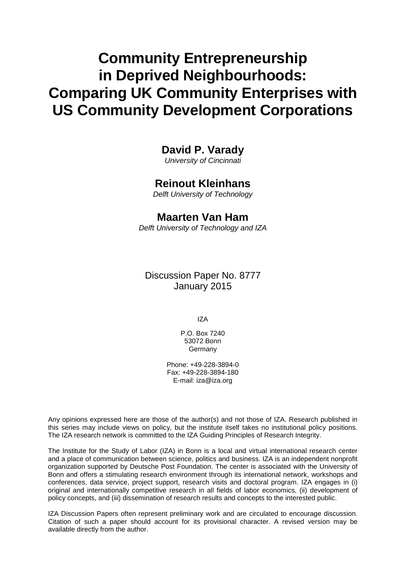# **Community Entrepreneurship in Deprived Neighbourhoods: Comparing UK Community Enterprises with US Community Development Corporations**

### **David P. Varady**

*University of Cincinnati*

### **Reinout Kleinhans**

*Delft University of Technology*

### **Maarten Van Ham**

*Delft University of Technology and IZA*

Discussion Paper No. 8777 January 2015

IZA

P.O. Box 7240 53072 Bonn **Germany** 

Phone: +49-228-3894-0 Fax: +49-228-3894-180 E-mail: [iza@iza.org](mailto:iza@iza.org)

Any opinions expressed here are those of the author(s) and not those of IZA. Research published in this series may include views on policy, but the institute itself takes no institutional policy positions. The IZA research network is committed to the IZA Guiding Principles of Research Integrity.

The Institute for the Study of Labor (IZA) in Bonn is a local and virtual international research center and a place of communication between science, politics and business. IZA is an independent nonprofit organization supported by Deutsche Post Foundation. The center is associated with the University of Bonn and offers a stimulating research environment through its international network, workshops and conferences, data service, project support, research visits and doctoral program. IZA engages in (i) original and internationally competitive research in all fields of labor economics, (ii) development of policy concepts, and (iii) dissemination of research results and concepts to the interested public.

IZA Discussion Papers often represent preliminary work and are circulated to encourage discussion. Citation of such a paper should account for its provisional character. A revised version may be available directly from the author.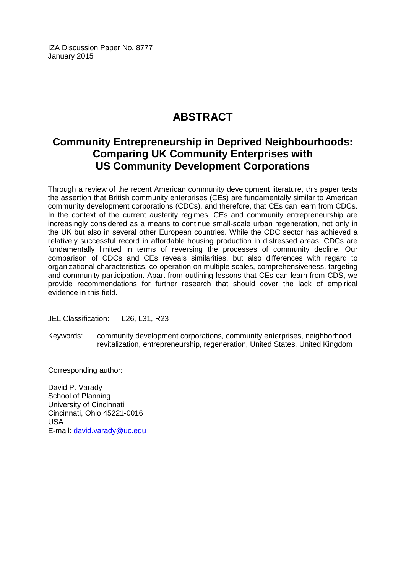IZA Discussion Paper No. 8777 January 2015

## **ABSTRACT**

### **Community Entrepreneurship in Deprived Neighbourhoods: Comparing UK Community Enterprises with US Community Development Corporations**

Through a review of the recent American community development literature, this paper tests the assertion that British community enterprises (CEs) are fundamentally similar to American community development corporations (CDCs), and therefore, that CEs can learn from CDCs. In the context of the current austerity regimes, CEs and community entrepreneurship are increasingly considered as a means to continue small-scale urban regeneration, not only in the UK but also in several other European countries. While the CDC sector has achieved a relatively successful record in affordable housing production in distressed areas, CDCs are fundamentally limited in terms of reversing the processes of community decline. Our comparison of CDCs and CEs reveals similarities, but also differences with regard to organizational characteristics, co-operation on multiple scales, comprehensiveness, targeting and community participation. Apart from outlining lessons that CEs can learn from CDS, we provide recommendations for further research that should cover the lack of empirical evidence in this field.

JEL Classification: L26, L31, R23

Keywords: community development corporations, community enterprises, neighborhood revitalization, entrepreneurship, regeneration, United States, United Kingdom

Corresponding author:

David P. Varady School of Planning University of Cincinnati Cincinnati, Ohio 45221-0016 USA E-mail: [david.varady@uc.edu](mailto:david.varady@uc.edu)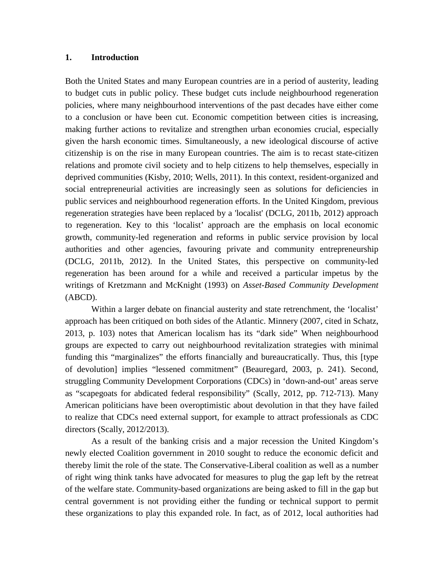#### **1. Introduction**

Both the United States and many European countries are in a period of austerity, leading to budget cuts in public policy. These budget cuts include neighbourhood regeneration policies, where many neighbourhood interventions of the past decades have either come to a conclusion or have been cut. Economic competition between cities is increasing, making further actions to revitalize and strengthen urban economies crucial, especially given the harsh economic times. Simultaneously, a new ideological discourse of active citizenship is on the rise in many European countries. The aim is to recast state-citizen relations and promote civil society and to help citizens to help themselves, especially in deprived communities (Kisby, 2010; Wells, 2011). In this context, resident-organized and social entrepreneurial activities are increasingly seen as solutions for deficiencies in public services and neighbourhood regeneration efforts. In the United Kingdom, previous regeneration strategies have been replaced by a 'localist' (DCLG, 2011b, 2012) approach to regeneration. Key to this 'localist' approach are the emphasis on local economic growth, community-led regeneration and reforms in public service provision by local authorities and other agencies, favouring private and community entrepreneurship (DCLG, 2011b, 2012). In the United States, this perspective on community-led regeneration has been around for a while and received a particular impetus by the writings of Kretzmann and McKnight (1993) on *Asset-Based Community Development* (ABCD).

Within a larger debate on financial austerity and state retrenchment, the 'localist' approach has been critiqued on both sides of the Atlantic. Minnery (2007, cited in Schatz, 2013, p. 103) notes that American localism has its "dark side" When neighbourhood groups are expected to carry out neighbourhood revitalization strategies with minimal funding this "marginalizes" the efforts financially and bureaucratically. Thus, this [type of devolution] implies "lessened commitment" (Beauregard, 2003, p. 241). Second, struggling Community Development Corporations (CDCs) in 'down-and-out' areas serve as "scapegoats for abdicated federal responsibility" (Scally, 2012, pp. 712-713). Many American politicians have been overoptimistic about devolution in that they have failed to realize that CDCs need external support, for example to attract professionals as CDC directors (Scally, 2012/2013).

As a result of the banking crisis and a major recession the United Kingdom's newly elected Coalition government in 2010 sought to reduce the economic deficit and thereby limit the role of the state. The Conservative-Liberal coalition as well as a number of right wing think tanks have advocated for measures to plug the gap left by the retreat of the welfare state. Community-based organizations are being asked to fill in the gap but central government is not providing either the funding or technical support to permit these organizations to play this expanded role. In fact, as of 2012, local authorities had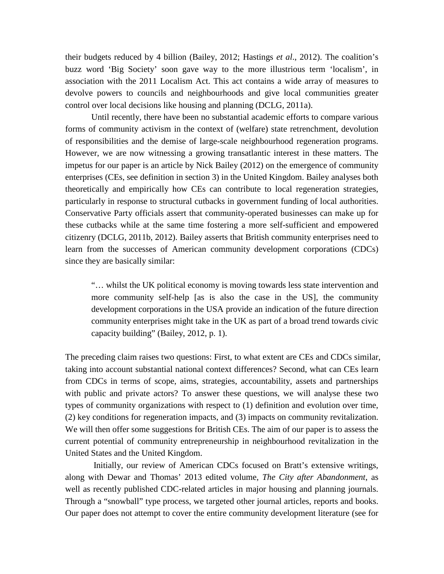their budgets reduced by 4 billion (Bailey, 2012; Hastings *et al*., 2012). The coalition's buzz word 'Big Society' soon gave way to the more illustrious term 'localism', in association with the 2011 Localism Act. This act contains a wide array of measures to devolve powers to councils and neighbourhoods and give local communities greater control over local decisions like housing and planning (DCLG, 2011a).

Until recently, there have been no substantial academic efforts to compare various forms of community activism in the context of (welfare) state retrenchment, devolution of responsibilities and the demise of large-scale neighbourhood regeneration programs. However, we are now witnessing a growing transatlantic interest in these matters. The impetus for our paper is an article by Nick Bailey (2012) on the emergence of community enterprises (CEs, see definition in section 3) in the United Kingdom. Bailey analyses both theoretically and empirically how CEs can contribute to local regeneration strategies, particularly in response to structural cutbacks in government funding of local authorities. Conservative Party officials assert that community-operated businesses can make up for these cutbacks while at the same time fostering a more self-sufficient and empowered citizenry (DCLG, 2011b, 2012). Bailey asserts that British community enterprises need to learn from the successes of American community development corporations (CDCs) since they are basically similar:

"… whilst the UK political economy is moving towards less state intervention and more community self-help [as is also the case in the US], the community development corporations in the USA provide an indication of the future direction community enterprises might take in the UK as part of a broad trend towards civic capacity building" (Bailey, 2012, p. 1).

The preceding claim raises two questions: First, to what extent are CEs and CDCs similar, taking into account substantial national context differences? Second, what can CEs learn from CDCs in terms of scope, aims, strategies, accountability, assets and partnerships with public and private actors? To answer these questions, we will analyse these two types of community organizations with respect to (1) definition and evolution over time, (2) key conditions for regeneration impacts, and (3) impacts on community revitalization. We will then offer some suggestions for British CEs. The aim of our paper is to assess the current potential of community entrepreneurship in neighbourhood revitalization in the United States and the United Kingdom.

Initially, our review of American CDCs focused on Bratt's extensive writings, along with Dewar and Thomas' 2013 edited volume, *The City after Abandonment*, as well as recently published CDC-related articles in major housing and planning journals. Through a "snowball" type process, we targeted other journal articles, reports and books. Our paper does not attempt to cover the entire community development literature (see for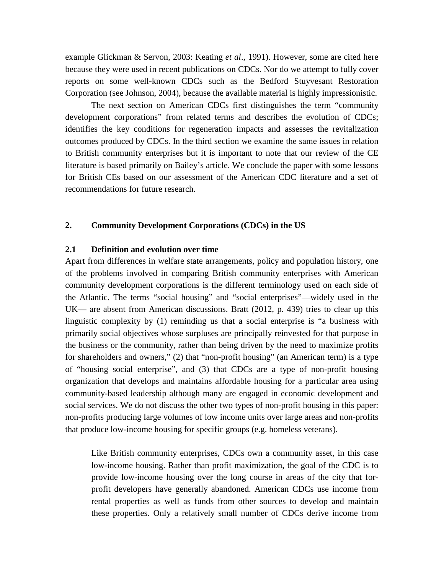example Glickman & Servon, 2003: Keating *et al*., 1991). However, some are cited here because they were used in recent publications on CDCs. Nor do we attempt to fully cover reports on some well-known CDCs such as the Bedford Stuyvesant Restoration Corporation (see Johnson, 2004), because the available material is highly impressionistic.

The next section on American CDCs first distinguishes the term "community development corporations" from related terms and describes the evolution of CDCs; identifies the key conditions for regeneration impacts and assesses the revitalization outcomes produced by CDCs. In the third section we examine the same issues in relation to British community enterprises but it is important to note that our review of the CE literature is based primarily on Bailey's article. We conclude the paper with some lessons for British CEs based on our assessment of the American CDC literature and a set of recommendations for future research.

#### **2. Community Development Corporations (CDCs) in the US**

#### **2.1 Definition and evolution over time**

Apart from differences in welfare state arrangements, policy and population history, one of the problems involved in comparing British community enterprises with American community development corporations is the different terminology used on each side of the Atlantic. The terms "social housing" and "social enterprises"—widely used in the UK— are absent from American discussions. Bratt (2012, p. 439) tries to clear up this linguistic complexity by (1) reminding us that a social enterprise is "a business with primarily social objectives whose surpluses are principally reinvested for that purpose in the business or the community, rather than being driven by the need to maximize profits for shareholders and owners," (2) that "non-profit housing" (an American term) is a type of "housing social enterprise", and (3) that CDCs are a type of non-profit housing organization that develops and maintains affordable housing for a particular area using community-based leadership although many are engaged in economic development and social services. We do not discuss the other two types of non-profit housing in this paper: non-profits producing large volumes of low income units over large areas and non-profits that produce low-income housing for specific groups (e.g. homeless veterans).

Like British community enterprises, CDCs own a community asset, in this case low-income housing. Rather than profit maximization, the goal of the CDC is to provide low-income housing over the long course in areas of the city that forprofit developers have generally abandoned. American CDCs use income from rental properties as well as funds from other sources to develop and maintain these properties. Only a relatively small number of CDCs derive income from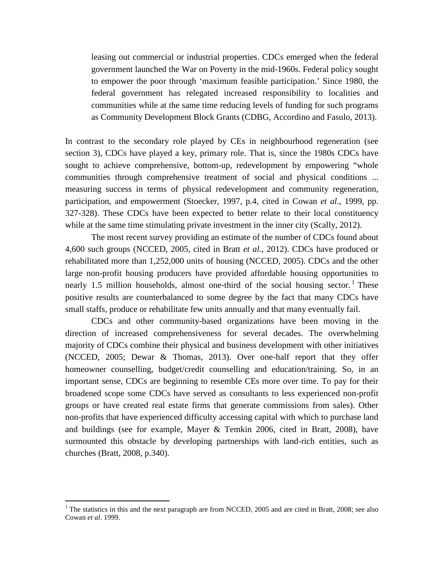leasing out commercial or industrial properties. CDCs emerged when the federal government launched the War on Poverty in the mid-1960s. Federal policy sought to empower the poor through 'maximum feasible participation.' Since 1980, the federal government has relegated increased responsibility to localities and communities while at the same time reducing levels of funding for such programs as Community Development Block Grants (CDBG, Accordino and Fasulo, 2013).

In contrast to the secondary role played by CEs in neighbourhood regeneration (see section 3), CDCs have played a key, primary role. That is, since the 1980s CDCs have sought to achieve comprehensive, bottom-up, redevelopment by empowering "whole communities through comprehensive treatment of social and physical conditions ... measuring success in terms of physical redevelopment and community regeneration, participation, and empowerment (Stoecker, 1997, p.4, cited in Cowan *et al*., 1999, pp. 327-328). These CDCs have been expected to better relate to their local constituency while at the same time stimulating private investment in the inner city (Scally, 2012).

The most recent survey providing an estimate of the number of CDCs found about 4,600 such groups (NCCED, 2005, cited in Bratt *et al*., 2012). CDCs have produced or rehabilitated more than 1,252,000 units of housing (NCCED, 2005). CDCs and the other large non-profit housing producers have provided affordable housing opportunities to nearly 1.5 million households, almost one-third of the social housing sector.<sup>1</sup> These positive results are counterbalanced to some degree by the fact that many CDCs have small staffs, produce or rehabilitate few units annually and that many eventually fail.

CDCs and other community-based organizations have been moving in the direction of increased comprehensiveness for several decades. The overwhelming majority of CDCs combine their physical and business development with other initiatives (NCCED, 2005; Dewar & Thomas, 2013). Over one-half report that they offer homeowner counselling, budget/credit counselling and education/training. So, in an important sense, CDCs are beginning to resemble CEs more over time. To pay for their broadened scope some CDCs have served as consultants to less experienced non-profit groups or have created real estate firms that generate commissions from sales). Other non-profits that have experienced difficulty accessing capital with which to purchase land and buildings (see for example, Mayer & Temkin 2006, cited in Bratt, 2008), have surmounted this obstacle by developing partnerships with land-rich entities, such as churches (Bratt, 2008, p.340).

<span id="page-6-0"></span><sup>&</sup>lt;sup>1</sup> The statistics in this and the next paragraph are from NCCED, 2005 and are cited in Bratt, 2008; see also Cowan *et al*. 1999.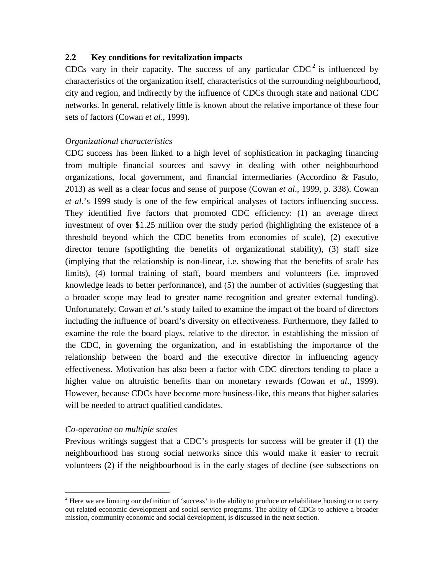#### **2.2 Key conditions for revitalization impacts**

CDCs vary in their capacity. The success of any particular  $CDC^2$  $CDC^2$  is influenced by characteristics of the organization itself, characteristics of the surrounding neighbourhood, city and region, and indirectly by the influence of CDCs through state and national CDC networks. In general, relatively little is known about the relative importance of these four sets of factors (Cowan *et al*., 1999).

#### *Organizational characteristics*

CDC success has been linked to a high level of sophistication in packaging financing from multiple financial sources and savvy in dealing with other neighbourhood organizations, local government, and financial intermediaries (Accordino & Fasulo, 2013) as well as a clear focus and sense of purpose (Cowan *et al*., 1999, p. 338). Cowan *et al*.'s 1999 study is one of the few empirical analyses of factors influencing success. They identified five factors that promoted CDC efficiency: (1) an average direct investment of over \$1.25 million over the study period (highlighting the existence of a threshold beyond which the CDC benefits from economies of scale), (2) executive director tenure (spotlighting the benefits of organizational stability), (3) staff size (implying that the relationship is non-linear, i.e. showing that the benefits of scale has limits), (4) formal training of staff, board members and volunteers (i.e. improved knowledge leads to better performance), and (5) the number of activities (suggesting that a broader scope may lead to greater name recognition and greater external funding). Unfortunately, Cowan *et al*.'s study failed to examine the impact of the board of directors including the influence of board's diversity on effectiveness. Furthermore, they failed to examine the role the board plays, relative to the director, in establishing the mission of the CDC, in governing the organization, and in establishing the importance of the relationship between the board and the executive director in influencing agency effectiveness. Motivation has also been a factor with CDC directors tending to place a higher value on altruistic benefits than on monetary rewards (Cowan *et al*., 1999). However, because CDCs have become more business-like, this means that higher salaries will be needed to attract qualified candidates.

#### *Co-operation on multiple scales*

Previous writings suggest that a CDC's prospects for success will be greater if (1) the neighbourhood has strong social networks since this would make it easier to recruit volunteers (2) if the neighbourhood is in the early stages of decline (see subsections on

<span id="page-7-0"></span><sup>&</sup>lt;sup>2</sup> Here we are limiting our definition of 'success' to the ability to produce or rehabilitate housing or to carry out related economic development and social service programs. The ability of CDCs to achieve a broader mission, community economic and social development, is discussed in the next section.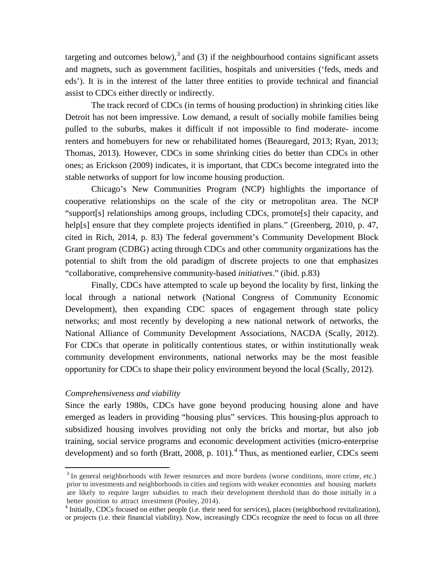targeting and outcomes below),<sup>[3](#page-7-0)</sup> and (3) if the neighbourhood contains significant assets and magnets, such as government facilities, hospitals and universities ('feds, meds and eds'). It is in the interest of the latter three entities to provide technical and financial assist to CDCs either directly or indirectly.

The track record of CDCs (in terms of housing production) in shrinking cities like Detroit has not been impressive. Low demand, a result of socially mobile families being pulled to the suburbs, makes it difficult if not impossible to find moderate- income renters and homebuyers for new or rehabilitated homes (Beauregard, 2013; Ryan, 2013; Thomas, 2013). However, CDCs in some shrinking cities do better than CDCs in other ones; as Erickson (2009) indicates, it is important, that CDCs become integrated into the stable networks of support for low income housing production.

Chicago's New Communities Program (NCP) highlights the importance of cooperative relationships on the scale of the city or metropolitan area. The NCP "support[s] relationships among groups, including CDCs, promote[s] their capacity, and help[s] ensure that they complete projects identified in plans." (Greenberg, 2010, p. 47, cited in Rich, 2014, p. 83) The federal government's Community Development Block Grant program (CDBG) acting through CDCs and other community organizations has the potential to shift from the old paradigm of discrete projects to one that emphasizes "collaborative, comprehensive community-based *initiatives*." (ibid. p.83)

Finally, CDCs have attempted to scale up beyond the locality by first, linking the local through a national network (National Congress of Community Economic Development), then expanding CDC spaces of engagement through state policy networks; and most recently by developing a new national network of networks, the National Alliance of Community Development Associations, NACDA (Scally, 2012). For CDCs that operate in politically contentious states, or within institutionally weak community development environments, national networks may be the most feasible opportunity for CDCs to shape their policy environment beyond the local (Scally, 2012).

#### *Comprehensiveness and viability*

Since the early 1980s, CDCs have gone beyond producing housing alone and have emerged as leaders in providing "housing plus" services. This housing-plus approach to subsidized housing involves providing not only the bricks and mortar, but also job training, social service programs and economic development activities (micro-enterprise development) and so forth (Bratt, 2008, p. 101).<sup>[4](#page-8-0)</sup> Thus, as mentioned earlier, CDCs seem

<sup>&</sup>lt;sup>3</sup> In general neighborhoods with fewer resources and more burdens (worse conditions, more crime, etc.) prior to investments and neighborhoods in cities and regions with weaker economies and housing markets are likely to require larger subsidies to reach their development threshold than do those initially in a better position to attract investment (Pooley, 2014).<br><sup>4</sup> Initially, CDCs focused on either people (i.e. their need for services), places (neighborhood revitalization),

<span id="page-8-1"></span><span id="page-8-0"></span>or projects (i.e. their financial viability). Now, increasingly CDCs recognize the need to focus on all three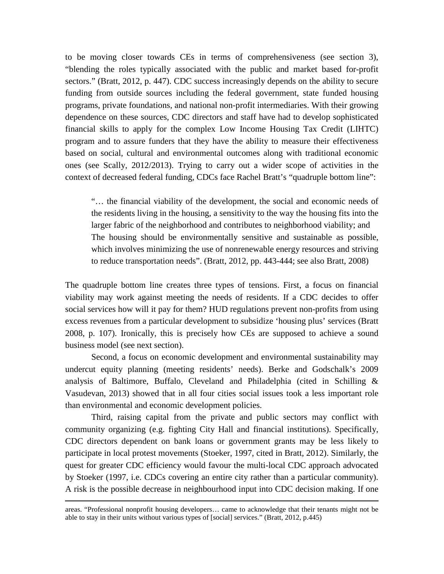to be moving closer towards CEs in terms of comprehensiveness (see section 3), "blending the roles typically associated with the public and market based for-profit sectors." (Bratt, 2012, p. 447). CDC success increasingly depends on the ability to secure funding from outside sources including the federal government, state funded housing programs, private foundations, and national non-profit intermediaries. With their growing dependence on these sources, CDC directors and staff have had to develop sophisticated financial skills to apply for the complex Low Income Housing Tax Credit (LIHTC) program and to assure funders that they have the ability to measure their effectiveness based on social, cultural and environmental outcomes along with traditional economic ones (see Scally, 2012/2013). Trying to carry out a wider scope of activities in the context of decreased federal funding, CDCs face Rachel Bratt's "quadruple bottom line":

"… the financial viability of the development, the social and economic needs of the residents living in the housing, a sensitivity to the way the housing fits into the larger fabric of the neighborhood and contributes to neighborhood viability; and The housing should be environmentally sensitive and sustainable as possible, which involves minimizing the use of nonrenewable energy resources and striving to reduce transportation needs". (Bratt, 2012, pp. 443-444; see also Bratt, 2008)

The quadruple bottom line creates three types of tensions. First, a focus on financial viability may work against meeting the needs of residents. If a CDC decides to offer social services how will it pay for them? HUD regulations prevent non-profits from using excess revenues from a particular development to subsidize 'housing plus' services (Bratt 2008, p. 107). Ironically, this is precisely how CEs are supposed to achieve a sound business model (see next section).

Second, a focus on economic development and environmental sustainability may undercut equity planning (meeting residents' needs). Berke and Godschalk's 2009 analysis of Baltimore, Buffalo, Cleveland and Philadelphia (cited in Schilling & Vasudevan, 2013) showed that in all four cities social issues took a less important role than environmental and economic development policies.

Third, raising capital from the private and public sectors may conflict with community organizing (e.g. fighting City Hall and financial institutions). Specifically, CDC directors dependent on bank loans or government grants may be less likely to participate in local protest movements (Stoeker, 1997, cited in Bratt, 2012). Similarly, the quest for greater CDC efficiency would favour the multi-local CDC approach advocated by Stoeker (1997, i.e. CDCs covering an entire city rather than a particular community). A risk is the possible decrease in neighbourhood input into CDC decision making. If one

 $\overline{a}$ 

areas. "Professional nonprofit housing developers… came to acknowledge that their tenants might not be able to stay in their units without various types of [social] services." (Bratt, 2012, p.445)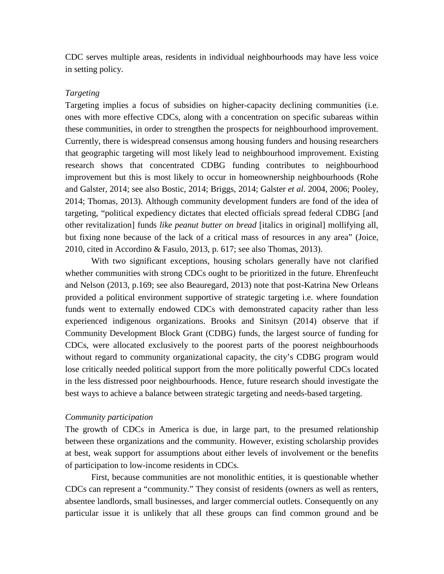CDC serves multiple areas, residents in individual neighbourhoods may have less voice in setting policy.

#### *Targeting*

Targeting implies a focus of subsidies on higher-capacity declining communities (i.e. ones with more effective CDCs, along with a concentration on specific subareas within these communities, in order to strengthen the prospects for neighbourhood improvement. Currently, there is widespread consensus among housing funders and housing researchers that geographic targeting will most likely lead to neighbourhood improvement. Existing research shows that concentrated CDBG funding contributes to neighbourhood improvement but this is most likely to occur in homeownership neighbourhoods (Rohe and Galster, 2014; see also Bostic, 2014; Briggs, 2014; Galster *et al*. 2004, 2006; Pooley, 2014; Thomas, 2013). Although community development funders are fond of the idea of targeting, "political expediency dictates that elected officials spread federal CDBG [and other revitalization] funds *like peanut butter on bread* [italics in original] mollifying all, but fixing none because of the lack of a critical mass of resources in any area" (Joice, 2010, cited in Accordino & Fasulo, 2013, p. 617; see also Thomas, 2013).

With two significant exceptions, housing scholars generally have not clarified whether communities with strong CDCs ought to be prioritized in the future. Ehrenfeucht and Nelson (2013, p.169; see also Beauregard, 2013) note that post-Katrina New Orleans provided a political environment supportive of strategic targeting i.e. where foundation funds went to externally endowed CDCs with demonstrated capacity rather than less experienced indigenous organizations. Brooks and Sinitsyn (2014) observe that if Community Development Block Grant (CDBG) funds, the largest source of funding for CDCs, were allocated exclusively to the poorest parts of the poorest neighbourhoods without regard to community organizational capacity, the city's CDBG program would lose critically needed political support from the more politically powerful CDCs located in the less distressed poor neighbourhoods. Hence, future research should investigate the best ways to achieve a balance between strategic targeting and needs-based targeting.

#### *Community participation*

The growth of CDCs in America is due, in large part, to the presumed relationship between these organizations and the community. However, existing scholarship provides at best, weak support for assumptions about either levels of involvement or the benefits of participation to low-income residents in CDCs.

First, because communities are not monolithic entities, it is questionable whether CDCs can represent a "community." They consist of residents (owners as well as renters, absentee landlords, small businesses, and larger commercial outlets. Consequently on any particular issue it is unlikely that all these groups can find common ground and be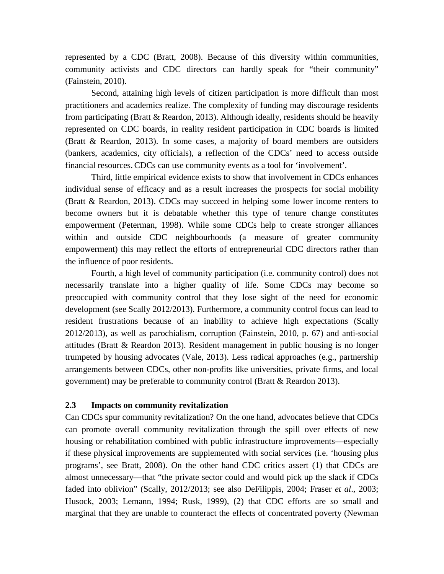represented by a CDC (Bratt, 2008). Because of this diversity within communities, community activists and CDC directors can hardly speak for "their community" (Fainstein, 2010).

Second, attaining high levels of citizen participation is more difficult than most practitioners and academics realize. The complexity of funding may discourage residents from participating (Bratt & Reardon, 2013). Although ideally, residents should be heavily represented on CDC boards, in reality resident participation in CDC boards is limited (Bratt & Reardon, 2013). In some cases, a majority of board members are outsiders (bankers, academics, city officials), a reflection of the CDCs' need to access outside financial resources. CDCs can use community events as a tool for 'involvement'.

Third, little empirical evidence exists to show that involvement in CDCs enhances individual sense of efficacy and as a result increases the prospects for social mobility (Bratt & Reardon, 2013). CDCs may succeed in helping some lower income renters to become owners but it is debatable whether this type of tenure change constitutes empowerment (Peterman, 1998). While some CDCs help to create stronger alliances within and outside CDC neighbourhoods (a measure of greater community empowerment) this may reflect the efforts of entrepreneurial CDC directors rather than the influence of poor residents.

Fourth, a high level of community participation (i.e. community control) does not necessarily translate into a higher quality of life. Some CDCs may become so preoccupied with community control that they lose sight of the need for economic development (see Scally 2012/2013). Furthermore, a community control focus can lead to resident frustrations because of an inability to achieve high expectations (Scally 2012/2013), as well as parochialism, corruption (Fainstein, 2010, p. 67) and anti-social attitudes (Bratt & Reardon 2013). Resident management in public housing is no longer trumpeted by housing advocates (Vale, 2013). Less radical approaches (e.g., partnership arrangements between CDCs, other non-profits like universities, private firms, and local government) may be preferable to community control (Bratt & Reardon 2013).

#### **2.3 Impacts on community revitalization**

Can CDCs spur community revitalization? On the one hand, advocates believe that CDCs can promote overall community revitalization through the spill over effects of new housing or rehabilitation combined with public infrastructure improvements—especially if these physical improvements are supplemented with social services (i.e. 'housing plus programs', see Bratt, 2008). On the other hand CDC critics assert (1) that CDCs are almost unnecessary—that "the private sector could and would pick up the slack if CDCs faded into oblivion" (Scally, 2012/2013; see also DeFilippis, 2004; Fraser *et al*., 2003; Husock, 2003; Lemann, 1994; Rusk, 1999), (2) that CDC efforts are so small and marginal that they are unable to counteract the effects of concentrated poverty (Newman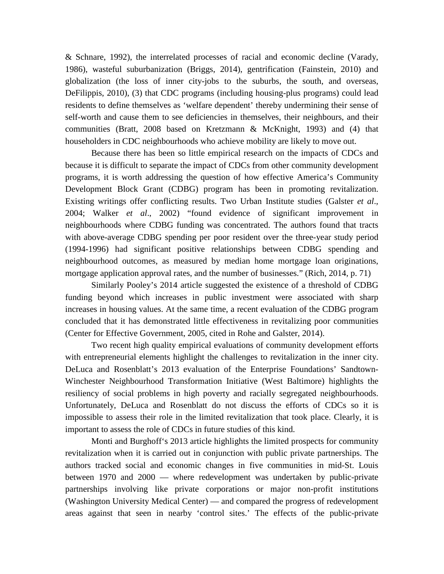& Schnare, 1992), the interrelated processes of racial and economic decline (Varady, 1986), wasteful suburbanization (Briggs, 2014), gentrification (Fainstein, 2010) and globalization (the loss of inner city-jobs to the suburbs, the south, and overseas, DeFilippis, 2010), (3) that CDC programs (including housing-plus programs) could lead residents to define themselves as 'welfare dependent' thereby undermining their sense of self-worth and cause them to see deficiencies in themselves, their neighbours, and their communities (Bratt, 2008 based on Kretzmann & McKnight, 1993) and (4) that householders in CDC neighbourhoods who achieve mobility are likely to move out.

Because there has been so little empirical research on the impacts of CDCs and because it is difficult to separate the impact of CDCs from other community development programs, it is worth addressing the question of how effective America's Community Development Block Grant (CDBG) program has been in promoting revitalization. Existing writings offer conflicting results. Two Urban Institute studies (Galster *et al*., 2004; Walker *et al*., 2002) "found evidence of significant improvement in neighbourhoods where CDBG funding was concentrated. The authors found that tracts with above-average CDBG spending per poor resident over the three-year study period (1994-1996) had significant positive relationships between CDBG spending and neighbourhood outcomes, as measured by median home mortgage loan originations, mortgage application approval rates, and the number of businesses." (Rich, 2014, p. 71)

Similarly Pooley's 2014 article suggested the existence of a threshold of CDBG funding beyond which increases in public investment were associated with sharp increases in housing values. At the same time, a recent evaluation of the CDBG program concluded that it has demonstrated little effectiveness in revitalizing poor communities (Center for Effective Government, 2005, cited in Rohe and Galster, 2014).

Two recent high quality empirical evaluations of community development efforts with entrepreneurial elements highlight the challenges to revitalization in the inner city. DeLuca and Rosenblatt's 2013 evaluation of the Enterprise Foundations' Sandtown-Winchester Neighbourhood Transformation Initiative (West Baltimore) highlights the resiliency of social problems in high poverty and racially segregated neighbourhoods. Unfortunately, DeLuca and Rosenblatt do not discuss the efforts of CDCs so it is impossible to assess their role in the limited revitalization that took place. Clearly, it is important to assess the role of CDCs in future studies of this kind.

Monti and Burghoff's 2013 article highlights the limited prospects for community revitalization when it is carried out in conjunction with public private partnerships. The authors tracked social and economic changes in five communities in mid-St. Louis between 1970 and 2000 — where redevelopment was undertaken by public-private partnerships involving like private corporations or major non-profit institutions (Washington University Medical Center) — and compared the progress of redevelopment areas against that seen in nearby 'control sites.' The effects of the public-private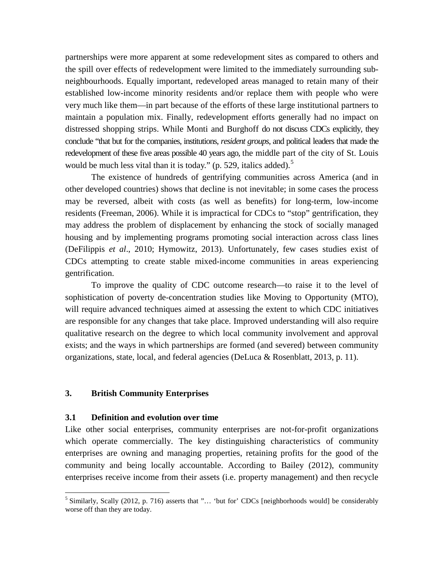partnerships were more apparent at some redevelopment sites as compared to others and the spill over effects of redevelopment were limited to the immediately surrounding subneighbourhoods. Equally important, redeveloped areas managed to retain many of their established low-income minority residents and/or replace them with people who were very much like them—in part because of the efforts of these large institutional partners to maintain a population mix. Finally, redevelopment efforts generally had no impact on distressed shopping strips. While Monti and Burghoff do not discuss CDCs explicitly, they conclude "that but for the companies, institutions, *resident groups*, and political leaders that made the redevelopment of these five areas possible 40 years ago, the middle part of the city of St. Louis would be much less vital than it is today." (p. [5](#page-8-1)29, italics added). $5$ 

The existence of hundreds of gentrifying communities across America (and in other developed countries) shows that decline is not inevitable; in some cases the process may be reversed, albeit with costs (as well as benefits) for long-term, low-income residents (Freeman, 2006). While it is impractical for CDCs to "stop" gentrification, they may address the problem of displacement by enhancing the stock of socially managed housing and by implementing programs promoting social interaction across class lines (DeFilippis *et al*., 2010; Hymowitz, 2013). Unfortunately, few cases studies exist of CDCs attempting to create stable mixed-income communities in areas experiencing gentrification.

To improve the quality of CDC outcome research—to raise it to the level of sophistication of poverty de-concentration studies like Moving to Opportunity (MTO), will require advanced techniques aimed at assessing the extent to which CDC initiatives are responsible for any changes that take place. Improved understanding will also require qualitative research on the degree to which local community involvement and approval exists; and the ways in which partnerships are formed (and severed) between community organizations, state, local, and federal agencies (DeLuca & Rosenblatt, 2013, p. 11).

#### **3. British Community Enterprises**

#### **3.1 Definition and evolution over time**

Like other social enterprises, community enterprises are not-for-profit organizations which operate commercially. The key distinguishing characteristics of community enterprises are owning and managing properties, retaining profits for the good of the community and being locally accountable. According to Bailey (2012), community enterprises receive income from their assets (i.e. property management) and then recycle

<span id="page-13-0"></span> $<sup>5</sup>$  Similarly, Scally (2012, p. 716) asserts that "... 'but for' CDCs [neighborhoods would] be considerably</sup> worse off than they are today.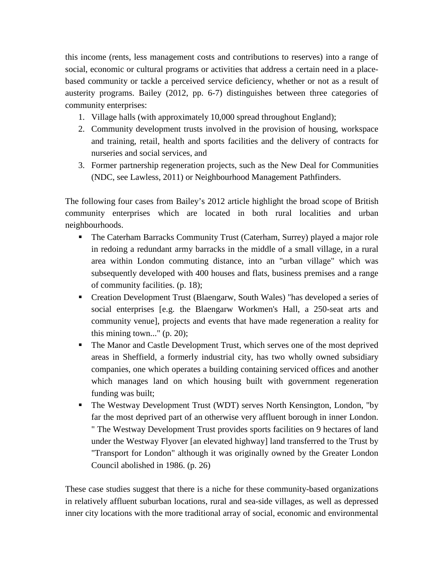this income (rents, less management costs and contributions to reserves) into a range of social, economic or cultural programs or activities that address a certain need in a placebased community or tackle a perceived service deficiency, whether or not as a result of austerity programs. Bailey (2012, pp. 6-7) distinguishes between three categories of community enterprises:

- 1. Village halls (with approximately 10,000 spread throughout England);
- 2. Community development trusts involved in the provision of housing, workspace and training, retail, health and sports facilities and the delivery of contracts for nurseries and social services, and
- 3. Former partnership regeneration projects, such as the New Deal for Communities (NDC, see Lawless, 2011) or Neighbourhood Management Pathfinders.

The following four cases from Bailey's 2012 article highlight the broad scope of British community enterprises which are located in both rural localities and urban neighbourhoods.

- The Caterham Barracks Community Trust (Caterham, Surrey) played a major role in redoing a redundant army barracks in the middle of a small village, in a rural area within London commuting distance, into an "urban village" which was subsequently developed with 400 houses and flats, business premises and a range of community facilities. (p. 18);
- Creation Development Trust (Blaengarw, South Wales) "has developed a series of social enterprises [e.g. the Blaengarw Workmen's Hall, a 250-seat arts and community venue], projects and events that have made regeneration a reality for this mining town..." (p. 20);
- The Manor and Castle Development Trust, which serves one of the most deprived areas in Sheffield, a formerly industrial city, has two wholly owned subsidiary companies, one which operates a building containing serviced offices and another which manages land on which housing built with government regeneration funding was built;
- The Westway Development Trust (WDT) serves North Kensington, London, "by far the most deprived part of an otherwise very affluent borough in inner London. " The Westway Development Trust provides sports facilities on 9 hectares of land under the Westway Flyover [an elevated highway] land transferred to the Trust by "Transport for London" although it was originally owned by the Greater London Council abolished in 1986. (p. 26)

These case studies suggest that there is a niche for these community-based organizations in relatively affluent suburban locations, rural and sea-side villages, as well as depressed inner city locations with the more traditional array of social, economic and environmental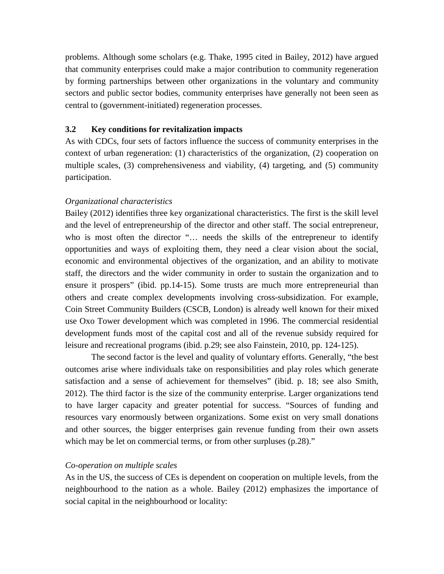problems. Although some scholars (e.g. Thake, 1995 cited in Bailey, 2012) have argued that community enterprises could make a major contribution to community regeneration by forming partnerships between other organizations in the voluntary and community sectors and public sector bodies, community enterprises have generally not been seen as central to (government-initiated) regeneration processes.

#### **3.2 Key conditions for revitalization impacts**

As with CDCs, four sets of factors influence the success of community enterprises in the context of urban regeneration: (1) characteristics of the organization, (2) cooperation on multiple scales, (3) comprehensiveness and viability, (4) targeting, and (5) community participation.

#### *Organizational characteristics*

Bailey (2012) identifies three key organizational characteristics. The first is the skill level and the level of entrepreneurship of the director and other staff. The social entrepreneur, who is most often the director "… needs the skills of the entrepreneur to identify opportunities and ways of exploiting them, they need a clear vision about the social, economic and environmental objectives of the organization, and an ability to motivate staff, the directors and the wider community in order to sustain the organization and to ensure it prospers" (ibid. pp.14-15). Some trusts are much more entrepreneurial than others and create complex developments involving cross-subsidization. For example, Coin Street Community Builders (CSCB, London) is already well known for their mixed use Oxo Tower development which was completed in 1996. The commercial residential development funds most of the capital cost and all of the revenue subsidy required for leisure and recreational programs (ibid. p.29; see also Fainstein, 2010, pp. 124-125).

The second factor is the level and quality of voluntary efforts. Generally, "the best outcomes arise where individuals take on responsibilities and play roles which generate satisfaction and a sense of achievement for themselves" (ibid. p. 18; see also Smith, 2012). The third factor is the size of the community enterprise. Larger organizations tend to have larger capacity and greater potential for success. "Sources of funding and resources vary enormously between organizations. Some exist on very small donations and other sources, the bigger enterprises gain revenue funding from their own assets which may be let on commercial terms, or from other surpluses (p.28)."

#### *Co-operation on multiple scales*

As in the US, the success of CEs is dependent on cooperation on multiple levels, from the neighbourhood to the nation as a whole. Bailey (2012) emphasizes the importance of social capital in the neighbourhood or locality: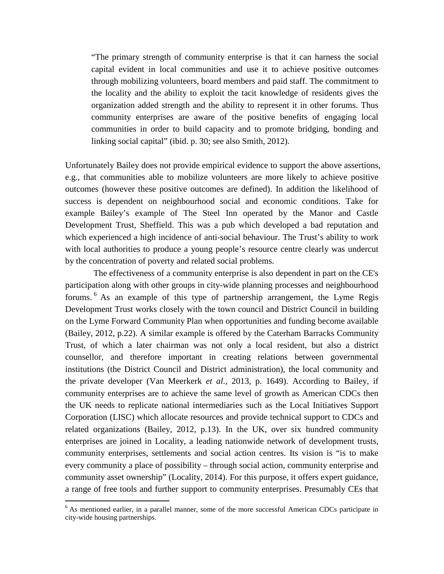"The primary strength of community enterprise is that it can harness the social capital evident in local communities and use it to achieve positive outcomes through mobilizing volunteers, board members and paid staff. The commitment to the locality and the ability to exploit the tacit knowledge of residents gives the organization added strength and the ability to represent it in other forums. Thus community enterprises are aware of the positive benefits of engaging local communities in order to build capacity and to promote bridging, bonding and linking social capital" (ibid. p. 30; see also Smith, 2012).

Unfortunately Bailey does not provide empirical evidence to support the above assertions, e.g., that communities able to mobilize volunteers are more likely to achieve positive outcomes (however these positive outcomes are defined). In addition the likelihood of success is dependent on neighbourhood social and economic conditions. Take for example Bailey's example of The Steel Inn operated by the Manor and Castle Development Trust, Sheffield. This was a pub which developed a bad reputation and which experienced a high incidence of anti-social behaviour. The Trust's ability to work with local authorities to produce a young people's resource centre clearly was undercut by the concentration of poverty and related social problems.

The effectiveness of a community enterprise is also dependent in part on the CE's participation along with other groups in city-wide planning processes and neighbourhood forums. [6](#page-13-0) As an example of this type of partnership arrangement, the Lyme Regis Development Trust works closely with the town council and District Council in building on the Lyme Forward Community Plan when opportunities and funding become available (Bailey, 2012, p.22). A similar example is offered by the Caterham Barracks Community Trust, of which a later chairman was not only a local resident, but also a district counsellor, and therefore important in creating relations between governmental institutions (the District Council and District administration), the local community and the private developer (Van Meerkerk *et al*., 2013, p. 1649). According to Bailey, if community enterprises are to achieve the same level of growth as American CDCs then the UK needs to replicate national intermediaries such as the Local Initiatives Support Corporation (LISC) which allocate resources and provide technical support to CDCs and related organizations (Bailey, 2012, p.13). In the UK, over six hundred community enterprises are joined in Locality, a leading nationwide network of development trusts, community enterprises, settlements and social action centres. Its vision is "is to make every community a place of possibility – through social action, community enterprise and community asset ownership" (Locality, 2014). For this purpose, it offers expert guidance, a range of free tools and further support to community enterprises. Presumably CEs that

<span id="page-16-0"></span> $6$  As mentioned earlier, in a parallel manner, some of the more successful American CDCs participate in city-wide housing partnerships.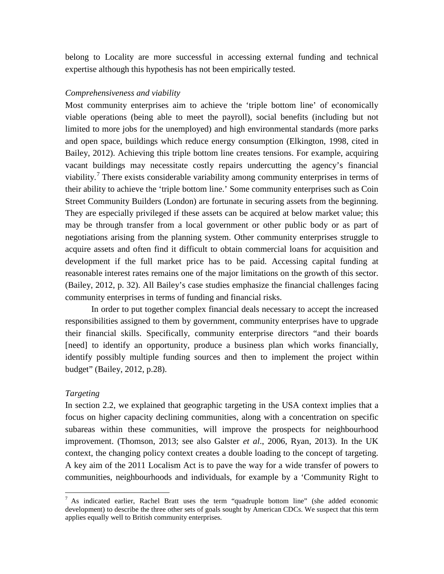belong to Locality are more successful in accessing external funding and technical expertise although this hypothesis has not been empirically tested.

#### *Comprehensiveness and viability*

Most community enterprises aim to achieve the 'triple bottom line' of economically viable operations (being able to meet the payroll), social benefits (including but not limited to more jobs for the unemployed) and high environmental standards (more parks and open space, buildings which reduce energy consumption (Elkington, 1998, cited in Bailey, 2012). Achieving this triple bottom line creates tensions. For example, acquiring vacant buildings may necessitate costly repairs undercutting the agency's financial viability.<sup>[7](#page-16-0)</sup> There exists considerable variability among community enterprises in terms of their ability to achieve the 'triple bottom line.' Some community enterprises such as Coin Street Community Builders (London) are fortunate in securing assets from the beginning. They are especially privileged if these assets can be acquired at below market value; this may be through transfer from a local government or other public body or as part of negotiations arising from the planning system. Other community enterprises struggle to acquire assets and often find it difficult to obtain commercial loans for acquisition and development if the full market price has to be paid. Accessing capital funding at reasonable interest rates remains one of the major limitations on the growth of this sector. (Bailey, 2012, p. 32). All Bailey's case studies emphasize the financial challenges facing community enterprises in terms of funding and financial risks.

In order to put together complex financial deals necessary to accept the increased responsibilities assigned to them by government, community enterprises have to upgrade their financial skills. Specifically, community enterprise directors "and their boards [need] to identify an opportunity, produce a business plan which works financially, identify possibly multiple funding sources and then to implement the project within budget" (Bailey, 2012, p.28).

#### *Targeting*

In section 2.2, we explained that geographic targeting in the USA context implies that a focus on higher capacity declining communities, along with a concentration on specific subareas within these communities, will improve the prospects for neighbourhood improvement. (Thomson, 2013; see also Galster *et al*., 2006, Ryan, 2013). In the UK context, the changing policy context creates a double loading to the concept of targeting. A key aim of the 2011 Localism Act is to pave the way for a wide transfer of powers to communities, neighbourhoods and individuals, for example by a 'Community Right to

<span id="page-17-0"></span> $<sup>7</sup>$  As indicated earlier, Rachel Bratt uses the term "quadruple bottom line" (she added economic</sup> development) to describe the three other sets of goals sought by American CDCs. We suspect that this term applies equally well to British community enterprises.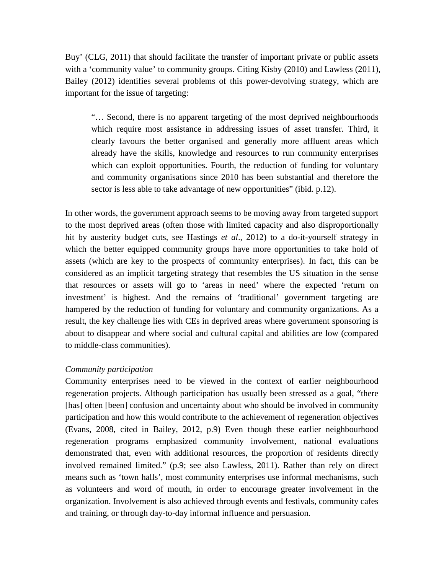Buy' (CLG, 2011) that should facilitate the transfer of important private or public assets with a 'community value' to community groups. Citing Kisby (2010) and Lawless (2011), Bailey (2012) identifies several problems of this power-devolving strategy, which are important for the issue of targeting:

"… Second, there is no apparent targeting of the most deprived neighbourhoods which require most assistance in addressing issues of asset transfer. Third, it clearly favours the better organised and generally more affluent areas which already have the skills, knowledge and resources to run community enterprises which can exploit opportunities. Fourth, the reduction of funding for voluntary and community organisations since 2010 has been substantial and therefore the sector is less able to take advantage of new opportunities" (ibid. p.12).

In other words, the government approach seems to be moving away from targeted support to the most deprived areas (often those with limited capacity and also disproportionally hit by austerity budget cuts, see Hastings *et al*., 2012) to a do-it-yourself strategy in which the better equipped community groups have more opportunities to take hold of assets (which are key to the prospects of community enterprises). In fact, this can be considered as an implicit targeting strategy that resembles the US situation in the sense that resources or assets will go to 'areas in need' where the expected 'return on investment' is highest. And the remains of 'traditional' government targeting are hampered by the reduction of funding for voluntary and community organizations. As a result, the key challenge lies with CEs in deprived areas where government sponsoring is about to disappear and where social and cultural capital and abilities are low (compared to middle-class communities).

#### *Community participation*

Community enterprises need to be viewed in the context of earlier neighbourhood regeneration projects. Although participation has usually been stressed as a goal, "there [has] often [been] confusion and uncertainty about who should be involved in community participation and how this would contribute to the achievement of regeneration objectives (Evans, 2008, cited in Bailey, 2012, p.9) Even though these earlier neighbourhood regeneration programs emphasized community involvement, national evaluations demonstrated that, even with additional resources, the proportion of residents directly involved remained limited." (p.9; see also Lawless, 2011). Rather than rely on direct means such as 'town halls', most community enterprises use informal mechanisms, such as volunteers and word of mouth, in order to encourage greater involvement in the organization. Involvement is also achieved through events and festivals, community cafes and training, or through day-to-day informal influence and persuasion.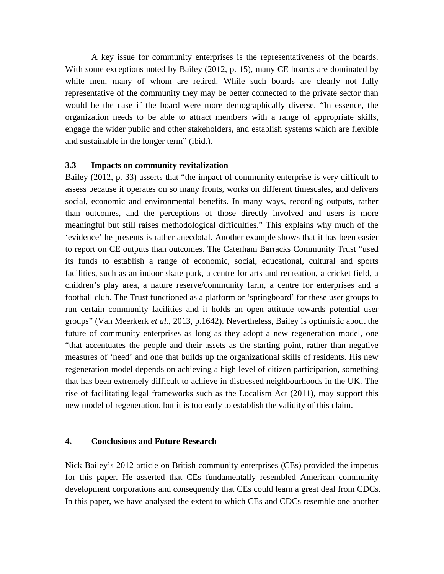A key issue for community enterprises is the representativeness of the boards. With some exceptions noted by Bailey (2012, p. 15), many CE boards are dominated by white men, many of whom are retired. While such boards are clearly not fully representative of the community they may be better connected to the private sector than would be the case if the board were more demographically diverse. "In essence, the organization needs to be able to attract members with a range of appropriate skills, engage the wider public and other stakeholders, and establish systems which are flexible and sustainable in the longer term" (ibid.).

#### **3.3 Impacts on community revitalization**

Bailey (2012, p. 33) asserts that "the impact of community enterprise is very difficult to assess because it operates on so many fronts, works on different timescales, and delivers social, economic and environmental benefits. In many ways, recording outputs, rather than outcomes, and the perceptions of those directly involved and users is more meaningful but still raises methodological difficulties." This explains why much of the 'evidence' he presents is rather anecdotal. Another example shows that it has been easier to report on CE outputs than outcomes. The Caterham Barracks Community Trust "used its funds to establish a range of economic, social, educational, cultural and sports facilities, such as an indoor skate park, a centre for arts and recreation, a cricket field, a children's play area, a nature reserve/community farm, a centre for enterprises and a football club. The Trust functioned as a platform or 'springboard' for these user groups to run certain community facilities and it holds an open attitude towards potential user groups" (Van Meerkerk *et al.*, 2013, p.1642). Nevertheless, Bailey is optimistic about the future of community enterprises as long as they adopt a new regeneration model, one "that accentuates the people and their assets as the starting point, rather than negative measures of 'need' and one that builds up the organizational skills of residents. His new regeneration model depends on achieving a high level of citizen participation, something that has been extremely difficult to achieve in distressed neighbourhoods in the UK. The rise of facilitating legal frameworks such as the Localism Act (2011), may support this new model of regeneration, but it is too early to establish the validity of this claim.

#### **4. Conclusions and Future Research**

Nick Bailey's 2012 article on British community enterprises (CEs) provided the impetus for this paper. He asserted that CEs fundamentally resembled American community development corporations and consequently that CEs could learn a great deal from CDCs. In this paper, we have analysed the extent to which CEs and CDCs resemble one another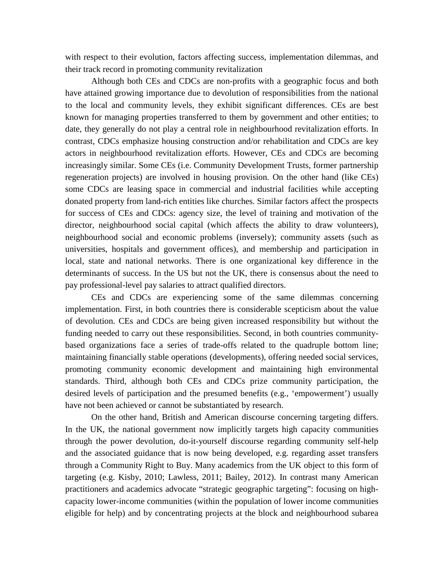with respect to their evolution, factors affecting success, implementation dilemmas, and their track record in promoting community revitalization

Although both CEs and CDCs are non-profits with a geographic focus and both have attained growing importance due to devolution of responsibilities from the national to the local and community levels, they exhibit significant differences. CEs are best known for managing properties transferred to them by government and other entities; to date, they generally do not play a central role in neighbourhood revitalization efforts. In contrast, CDCs emphasize housing construction and/or rehabilitation and CDCs are key actors in neighbourhood revitalization efforts. However, CEs and CDCs are becoming increasingly similar. Some CEs (i.e. Community Development Trusts, former partnership regeneration projects) are involved in housing provision. On the other hand (like CEs) some CDCs are leasing space in commercial and industrial facilities while accepting donated property from land-rich entities like churches. Similar factors affect the prospects for success of CEs and CDCs: agency size, the level of training and motivation of the director, neighbourhood social capital (which affects the ability to draw volunteers), neighbourhood social and economic problems (inversely); community assets (such as universities, hospitals and government offices), and membership and participation in local, state and national networks. There is one organizational key difference in the determinants of success. In the US but not the UK, there is consensus about the need to pay professional-level pay salaries to attract qualified directors.

CEs and CDCs are experiencing some of the same dilemmas concerning implementation. First, in both countries there is considerable scepticism about the value of devolution. CEs and CDCs are being given increased responsibility but without the funding needed to carry out these responsibilities. Second, in both countries communitybased organizations face a series of trade-offs related to the quadruple bottom line; maintaining financially stable operations (developments), offering needed social services, promoting community economic development and maintaining high environmental standards. Third, although both CEs and CDCs prize community participation, the desired levels of participation and the presumed benefits (e.g., 'empowerment') usually have not been achieved or cannot be substantiated by research.

On the other hand, British and American discourse concerning targeting differs. In the UK, the national government now implicitly targets high capacity communities through the power devolution, do-it-yourself discourse regarding community self-help and the associated guidance that is now being developed, e.g. regarding asset transfers through a Community Right to Buy. Many academics from the UK object to this form of targeting (e.g. Kisby, 2010; Lawless, 2011; Bailey, 2012). In contrast many American practitioners and academics advocate "strategic geographic targeting": focusing on highcapacity lower-income communities (within the population of lower income communities eligible for help) and by concentrating projects at the block and neighbourhood subarea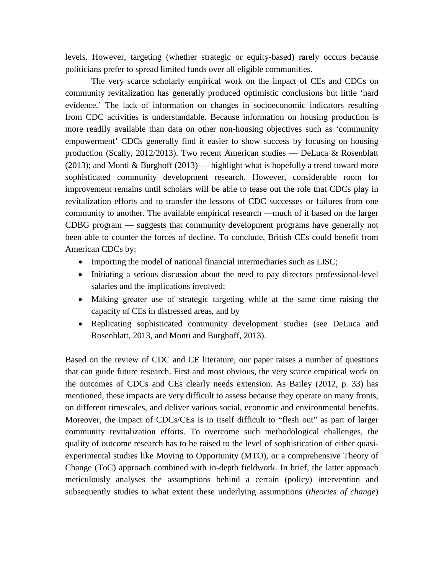levels. However, targeting (whether strategic or equity-based) rarely occurs because politicians prefer to spread limited funds over all eligible communities.

The very scarce scholarly empirical work on the impact of CEs and CDCs on community revitalization has generally produced optimistic conclusions but little 'hard evidence.' The lack of information on changes in socioeconomic indicators resulting from CDC activities is understandable. Because information on housing production is more readily available than data on other non-housing objectives such as 'community empowerment' CDCs generally find it easier to show success by focusing on housing production (Scally, 2012/2013). Two recent American studies — DeLuca & Rosenblatt (2013); and Monti & Burghoff (2013) — highlight what is hopefully a trend toward more sophisticated community development research. However, considerable room for improvement remains until scholars will be able to tease out the role that CDCs play in revitalization efforts and to transfer the lessons of CDC successes or failures from one community to another. The available empirical research —much of it based on the larger CDBG program — suggests that community development programs have generally not been able to counter the forces of decline. To conclude, British CEs could benefit from American CDCs by:

- Importing the model of national financial intermediaries such as LISC;
- Initiating a serious discussion about the need to pay directors professional-level salaries and the implications involved;
- Making greater use of strategic targeting while at the same time raising the capacity of CEs in distressed areas, and by
- Replicating sophisticated community development studies (see DeLuca and Rosenblatt, 2013, and Monti and Burghoff, 2013).

Based on the review of CDC and CE literature, our paper raises a number of questions that can guide future research. First and most obvious, the very scarce empirical work on the outcomes of CDCs and CEs clearly needs extension. As Bailey (2012, p. 33) has mentioned, these impacts are very difficult to assess because they operate on many fronts, on different timescales, and deliver various social, economic and environmental benefits. Moreover, the impact of CDCs/CEs is in itself difficult to "flesh out" as part of larger community revitalization efforts. To overcome such methodological challenges, the quality of outcome research has to be raised to the level of sophistication of either quasiexperimental studies like Moving to Opportunity (MTO), or a comprehensive Theory of Change (ToC) approach combined with in-depth fieldwork. In brief, the latter approach meticulously analyses the assumptions behind a certain (policy) intervention and subsequently studies to what extent these underlying assumptions (*theories of change*)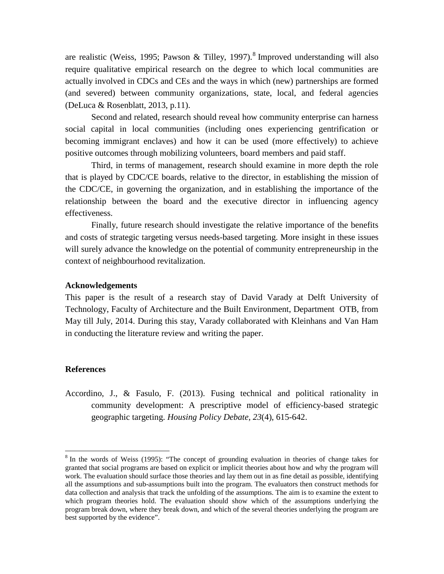are realistic (Weiss, 1995; Pawson & Tilley, 1997).<sup>[8](#page-17-0)</sup> Improved understanding will also require qualitative empirical research on the degree to which local communities are actually involved in CDCs and CEs and the ways in which (new) partnerships are formed (and severed) between community organizations, state, local, and federal agencies (DeLuca & Rosenblatt, 2013, p.11).

Second and related, research should reveal how community enterprise can harness social capital in local communities (including ones experiencing gentrification or becoming immigrant enclaves) and how it can be used (more effectively) to achieve positive outcomes through mobilizing volunteers, board members and paid staff.

Third, in terms of management, research should examine in more depth the role that is played by CDC/CE boards, relative to the director, in establishing the mission of the CDC/CE, in governing the organization, and in establishing the importance of the relationship between the board and the executive director in influencing agency effectiveness.

Finally, future research should investigate the relative importance of the benefits and costs of strategic targeting versus needs-based targeting. More insight in these issues will surely advance the knowledge on the potential of community entrepreneurship in the context of neighbourhood revitalization.

#### **Acknowledgements**

This paper is the result of a research stay of David Varady at Delft University of Technology, Faculty of Architecture and the Built Environment, Department OTB, from May till July, 2014. During this stay, Varady collaborated with Kleinhans and Van Ham in conducting the literature review and writing the paper.

#### **References**

Accordino, J., & Fasulo, F. (2013). Fusing technical and political rationality in community development: A prescriptive model of efficiency-based strategic geographic targeting. *Housing Policy Debate, 23*(4), 615-642.

 $8$  In the words of Weiss (1995): "The concept of grounding evaluation in theories of change takes for granted that social programs are based on explicit or implicit theories about how and why the program will work. The evaluation should surface those theories and lay them out in as fine detail as possible, identifying all the assumptions and sub-assumptions built into the program. The evaluators then construct methods for data collection and analysis that track the unfolding of the assumptions. The aim is to examine the extent to which program theories hold. The evaluation should show which of the assumptions underlying the program break down, where they break down, and which of the several theories underlying the program are best supported by the evidence".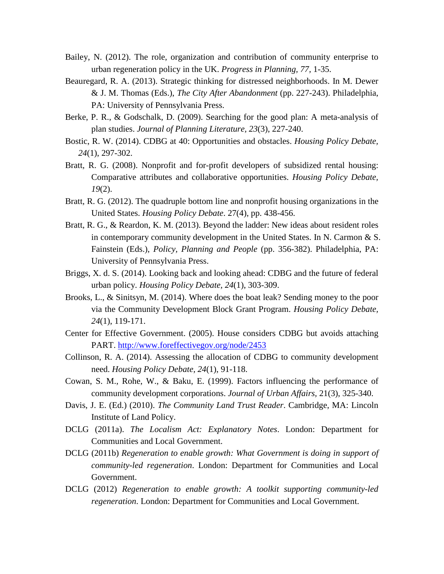- Bailey, N. (2012). The role, organization and contribution of community enterprise to urban regeneration policy in the UK. *Progress in Planning, 77,* 1-35.
- Beauregard, R. A. (2013). Strategic thinking for distressed neighborhoods. In M. Dewer & J. M. Thomas (Eds.), *The City After Abandonment* (pp. 227-243). Philadelphia, PA: University of Pennsylvania Press.
- Berke, P. R., & Godschalk, D. (2009). Searching for the good plan: A meta-analysis of plan studies. *Journal of Planning Literature, 23*(3), 227-240.
- Bostic, R. W. (2014). CDBG at 40: Opportunities and obstacles. *Housing Policy Debate, 24*(1), 297-302.
- Bratt, R. G. (2008). Nonprofit and for-profit developers of subsidized rental housing: Comparative attributes and collaborative opportunities. *Housing Policy Debate, 19*(2).
- Bratt, R. G. (2012). The quadruple bottom line and nonprofit housing organizations in the United States. *Housing Policy Debate*. 27(4), pp. 438-456.
- Bratt, R. G., & Reardon, K. M. (2013). Beyond the ladder: New ideas about resident roles in contemporary community development in the United States. In N. Carmon & S. Fainstein (Eds.), *Policy, Planning and People* (pp. 356-382). Philadelphia, PA: University of Pennsylvania Press.
- Briggs, X. d. S. (2014). Looking back and looking ahead: CDBG and the future of federal urban policy. *Housing Policy Debate, 24*(1), 303-309.
- Brooks, L., & Sinitsyn, M. (2014). Where does the boat leak? Sending money to the poor via the Community Development Block Grant Program. *Housing Policy Debate, 24*(1), 119-171.
- Center for Effective Government. (2005). House considers CDBG but avoids attaching PART.<http://www.foreffectivegov.org/node/2453>
- Collinson, R. A. (2014). Assessing the allocation of CDBG to community development need. *Housing Policy Debate, 24*(1), 91-118.
- Cowan, S. M., Rohe, W., & Baku, E. (1999). Factors influencing the performance of community development corporations. *Journal of Urban Affairs,* 21(3), 325-340.
- Davis, J. E. (Ed.) (2010). *The Community Land Trust Reader*. Cambridge, MA: Lincoln Institute of Land Policy.
- DCLG (2011a). *The Localism Act: Explanatory Notes*. London: Department for Communities and Local Government.
- DCLG (2011b) *Regeneration to enable growth: What Government is doing in support of community-led regeneration*. London: Department for Communities and Local Government.
- DCLG (2012) *Regeneration to enable growth: A toolkit supporting community-led regeneration*. London: Department for Communities and Local Government.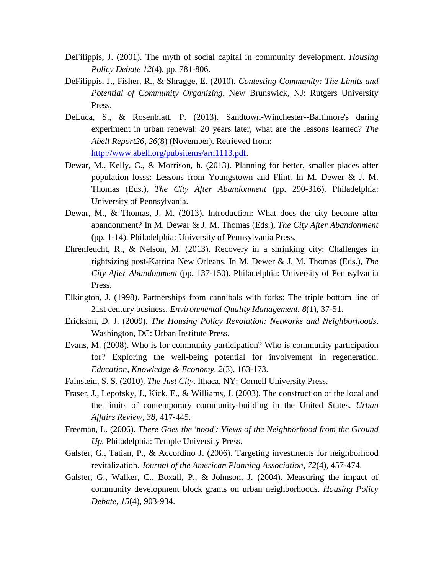- DeFilippis, J. (2001). The myth of social capital in community development. *Housing Policy Debate 12*(4), pp. 781-806.
- DeFilippis, J., Fisher, R., & Shragge, E. (2010). *Contesting Community: The Limits and Potential of Community Organizing*. New Brunswick, NJ: Rutgers University Press.
- DeLuca, S., & Rosenblatt, P. (2013). Sandtown-Winchester--Baltimore's daring experiment in urban renewal: 20 years later, what are the lessons learned? *The Abell Report26, 26*(8) (November). Retrieved from: [http://www.abell.org/pubsitems/arn1113.pdf.](http://www.abell.org/pubsitems/arn1113.pdf)
- Dewar, M., Kelly, C., & Morrison, h. (2013). Planning for better, smaller places after population losss: Lessons from Youngstown and Flint. In M. Dewer & J. M. Thomas (Eds.), *The City After Abandonment* (pp. 290-316). Philadelphia: University of Pennsylvania.
- Dewar, M., & Thomas, J. M. (2013). Introduction: What does the city become after abandonment? In M. Dewar & J. M. Thomas (Eds.), *The City After Abandonment* (pp. 1-14). Philadelphia: University of Pennsylvania Press.
- Ehrenfeucht, R., & Nelson, M. (2013). Recovery in a shrinking city: Challenges in rightsizing post-Katrina New Orleans. In M. Dewer & J. M. Thomas (Eds.), *The City After Abandonment* (pp. 137-150). Philadelphia: University of Pennsylvania Press.
- Elkington, J. (1998). Partnerships from cannibals with forks: The triple bottom line of 21st century business. *Environmental Quality Management, 8*(1), 37-51.
- Erickson, D. J. (2009). *The Housing Policy Revolution: Networks and Neighborhoods*. Washington, DC: Urban Institute Press.
- Evans, M. (2008). Who is for community participation? Who is community participation for? Exploring the well-being potential for involvement in regeneration. *Education, Knowledge & Economy, 2*(3), 163-173.
- Fainstein, S. S. (2010). *The Just City*. Ithaca, NY: Cornell University Press.
- Fraser, J., Lepofsky, J., Kick, E., & Williams, J. (2003). The construction of the local and the limits of contemporary community-building in the United States. *Urban Affairs Review, 38,* 417-445.
- Freeman, L. (2006). *There Goes the 'hood': Views of the Neighborhood from the Ground Up.* Philadelphia: Temple University Press.
- Galster, G., Tatian, P., & Accordino J. (2006). Targeting investments for neighborhood revitalization. *Journal of the American Planning Association*, *72*(4), 457-474.
- Galster, G., Walker, C., Boxall, P., & Johnson, J. (2004). Measuring the impact of community development block grants on urban neighborhoods. *Housing Policy Debate, 15*(4), 903-934.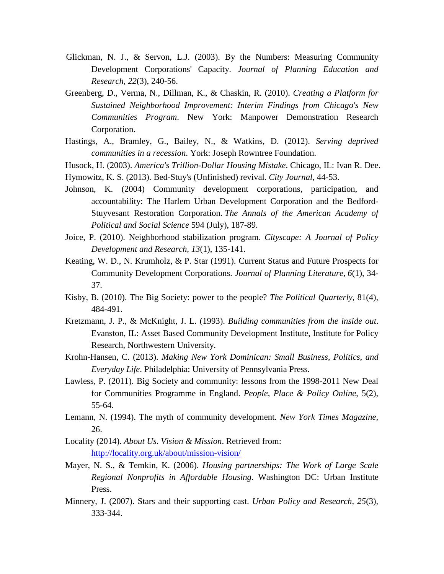- Glickman, N. J., & Servon, L.J. (2003). By the Numbers: Measuring Community Development Corporations' Capacity. *Journal of Planning Education and Research, 22*(3), 240-56.
- Greenberg, D., Verma, N., Dillman, K., & Chaskin, R. (2010). *Creating a Platform for Sustained Neighborhood Improvement: Interim Findings from Chicago's New Communities Program*. New York: Manpower Demonstration Research Corporation.
- Hastings, A., Bramley, G., Bailey, N., & Watkins, D. (2012). *Serving deprived communities in a recession*. York: Joseph Rowntree Foundation.
- Husock, H. (2003). *America's Trillion-Dollar Housing Mistake*. Chicago, IL: Ivan R. Dee. Hymowitz, K. S. (2013). Bed-Stuy's (Unfinished) revival. *City Journal*, 44-53.
- Johnson, K. (2004) Community development corporations, participation, and accountability: The Harlem Urban Development Corporation and the Bedford-Stuyvesant Restoration Corporation. *The Annals of the American Academy of Political and Social Science* 594 (July), 187-89.
- Joice, P. (2010). Neighborhood stabilization program. *Cityscape: A Journal of Policy Development and Research, 13*(1), 135-141.
- Keating, W. D., N. Krumholz, & P. Star (1991). Current Status and Future Prospects for Community Development Corporations. *Journal of Planning Literature, 6*(1), 34- 37.
- Kisby, B. (2010). The Big Society: power to the people? *The Political Quarterly*, 81(4), 484-491.
- Kretzmann, J. P., & McKnight, J. L. (1993). *Building communities from the inside out*. Evanston, IL: Asset Based Community Development Institute, Institute for Policy Research, Northwestern University.
- Krohn-Hansen, C. (2013). *Making New York Dominican: Small Business, Politics, and Everyday Life*. Philadelphia: University of Pennsylvania Press.
- Lawless, P. (2011). Big Society and community: lessons from the 1998-2011 New Deal for Communities Programme in England. *People, Place & Policy Online*, 5(2), 55-64.
- Lemann, N. (1994). The myth of community development. *New York Times Magazine,* 26.
- Locality (2014). *About Us. Vision & Mission*. Retrieved from: <http://locality.org.uk/about/mission-vision/>
- Mayer, N. S., & Temkin, K. (2006). *Housing partnerships: The Work of Large Scale Regional Nonprofits in Affordable Housing*. Washington DC: Urban Institute Press.
- Minnery, J. (2007). Stars and their supporting cast. *Urban Policy and Research, 25*(3), 333-344.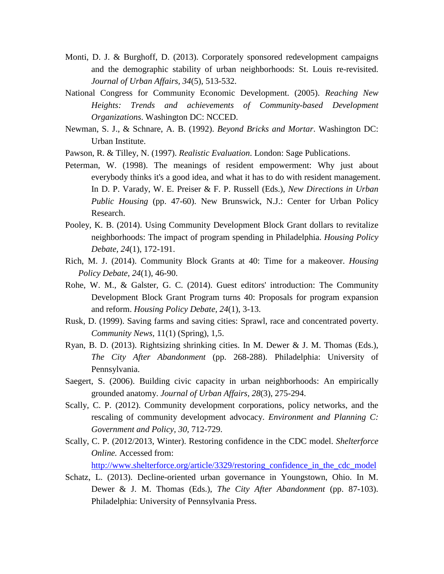- Monti, D. J. & Burghoff, D. (2013). Corporately sponsored redevelopment campaigns and the demographic stability of urban neighborhoods: St. Louis re-revisited. *Journal of Urban Affairs, 34*(5), 513-532.
- National Congress for Community Economic Development. (2005). *Reaching New Heights: Trends and achievements of Community-based Development Organizations*. Washington DC: NCCED.
- Newman, S. J., & Schnare, A. B. (1992). *Beyond Bricks and Mortar*. Washington DC: Urban Institute.
- Pawson, R. & Tilley, N. (1997). *Realistic Evaluation*. London: Sage Publications.
- Peterman, W. (1998). The meanings of resident empowerment: Why just about everybody thinks it's a good idea, and what it has to do with resident management. In D. P. Varady, W. E. Preiser & F. P. Russell (Eds.), *New Directions in Urban Public Housing* (pp. 47-60). New Brunswick, N.J.: Center for Urban Policy Research.
- Pooley, K. B. (2014). Using Community Development Block Grant dollars to revitalize neighborhoods: The impact of program spending in Philadelphia. *Housing Policy Debate, 24*(1), 172-191.
- Rich, M. J. (2014). Community Block Grants at 40: Time for a makeover. *Housing Policy Debate, 24*(1), 46-90.
- Rohe, W. M., & Galster, G. C. (2014). Guest editors' introduction: The Community Development Block Grant Program turns 40: Proposals for program expansion and reform. *Housing Policy Debate, 24*(1), 3-13.
- Rusk, D. (1999). Saving farms and saving cities: Sprawl, race and concentrated poverty. *Community News,* 11(1) (Spring), 1,5.
- Ryan, B. D. (2013). Rightsizing shrinking cities. In M. Dewer & J. M. Thomas (Eds.), *The City After Abandonment* (pp. 268-288). Philadelphia: University of Pennsylvania.
- Saegert, S. (2006). Building civic capacity in urban neighborhoods: An empirically grounded anatomy. *Journal of Urban Affairs, 28*(3), 275-294.
- Scally, C. P. (2012). Community development corporations, policy networks, and the rescaling of community development advocacy. *Environment and Planning C: Government and Policy, 30,* 712-729.
- Scally, C. P. (2012/2013, Winter). Restoring confidence in the CDC model. *Shelterforce Online.* Accessed from:

[http://www.shelterforce.org/article/3329/restoring\\_confidence\\_in\\_the\\_cdc\\_model](http://www.shelterforce.org/article/3329/restoring_confidence_in_the_cdc_model)

Schatz, L. (2013). Decline-oriented urban governance in Youngstown, Ohio. In M. Dewer & J. M. Thomas (Eds.), *The City After Abandonment* (pp. 87-103). Philadelphia: University of Pennsylvania Press.